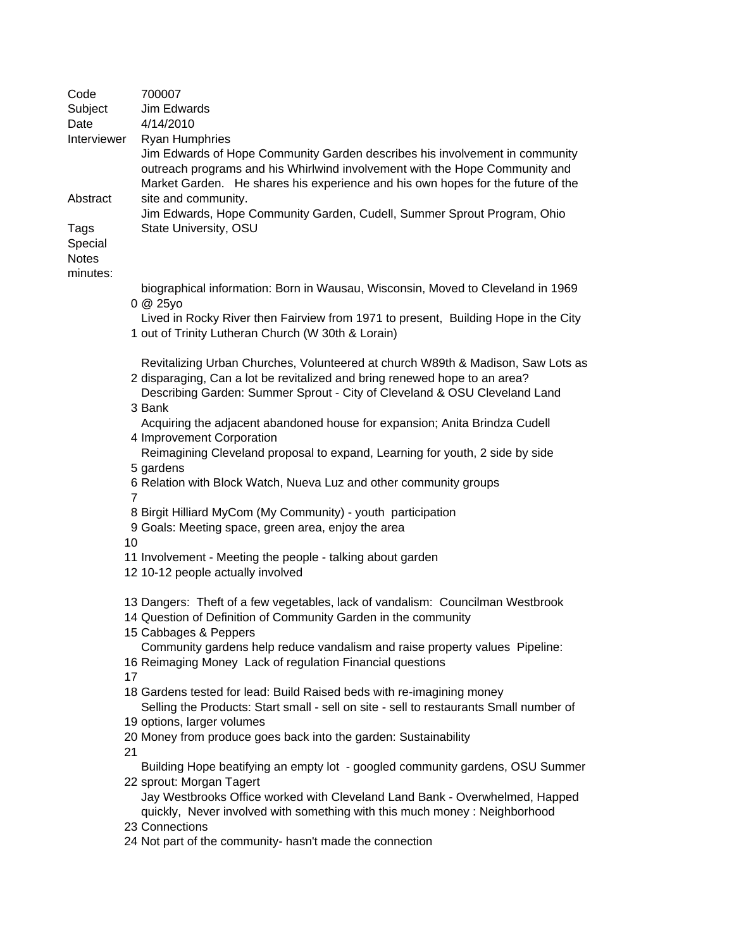| Code                     | 700007                                                                                                                                                                                                                                               |
|--------------------------|------------------------------------------------------------------------------------------------------------------------------------------------------------------------------------------------------------------------------------------------------|
| Subject                  | Jim Edwards                                                                                                                                                                                                                                          |
| Date                     | 4/14/2010                                                                                                                                                                                                                                            |
| Interviewer              | <b>Ryan Humphries</b>                                                                                                                                                                                                                                |
|                          | Jim Edwards of Hope Community Garden describes his involvement in community<br>outreach programs and his Whirlwind involvement with the Hope Community and<br>Market Garden. He shares his experience and his own hopes for the future of the        |
| Abstract                 | site and community.<br>Jim Edwards, Hope Community Garden, Cudell, Summer Sprout Program, Ohio                                                                                                                                                       |
| Tags<br>Special          | State University, OSU                                                                                                                                                                                                                                |
| <b>Notes</b><br>minutes: |                                                                                                                                                                                                                                                      |
|                          | biographical information: Born in Wausau, Wisconsin, Moved to Cleveland in 1969<br>0 @ 25yo                                                                                                                                                          |
|                          | Lived in Rocky River then Fairview from 1971 to present, Building Hope in the City<br>1 out of Trinity Lutheran Church (W 30th & Lorain)                                                                                                             |
|                          | Revitalizing Urban Churches, Volunteered at church W89th & Madison, Saw Lots as<br>2 disparaging, Can a lot be revitalized and bring renewed hope to an area?<br>Describing Garden: Summer Sprout - City of Cleveland & OSU Cleveland Land<br>3 Bank |
|                          | Acquiring the adjacent abandoned house for expansion; Anita Brindza Cudell<br>4 Improvement Corporation                                                                                                                                              |
|                          | Reimagining Cleveland proposal to expand, Learning for youth, 2 side by side<br>5 gardens                                                                                                                                                            |
|                          | 6 Relation with Block Watch, Nueva Luz and other community groups<br>$\overline{7}$                                                                                                                                                                  |
|                          | 8 Birgit Hilliard MyCom (My Community) - youth participation<br>9 Goals: Meeting space, green area, enjoy the area                                                                                                                                   |
|                          | 10<br>11 Involvement - Meeting the people - talking about garden                                                                                                                                                                                     |
|                          | 12 10-12 people actually involved                                                                                                                                                                                                                    |
|                          | 13 Dangers: Theft of a few vegetables, lack of vandalism: Councilman Westbrook<br>14 Question of Definition of Community Garden in the community                                                                                                     |
|                          | 15 Cabbages & Peppers                                                                                                                                                                                                                                |
|                          | Community gardens help reduce vandalism and raise property values Pipeline:<br>16 Reimaging Money Lack of regulation Financial questions<br>17                                                                                                       |
|                          | 18 Gardens tested for lead: Build Raised beds with re-imagining money<br>Selling the Products: Start small - sell on site - sell to restaurants Small number of                                                                                      |
|                          | 19 options, larger volumes                                                                                                                                                                                                                           |
|                          | 20 Money from produce goes back into the garden: Sustainability<br>21                                                                                                                                                                                |
|                          | Building Hope beatifying an empty lot - googled community gardens, OSU Summer<br>22 sprout: Morgan Tagert                                                                                                                                            |
|                          | Jay Westbrooks Office worked with Cleveland Land Bank - Overwhelmed, Happed<br>quickly, Never involved with something with this much money : Neighborhood                                                                                            |
|                          | 23 Connections                                                                                                                                                                                                                                       |
|                          | 24 Not part of the community- hasn't made the connection                                                                                                                                                                                             |